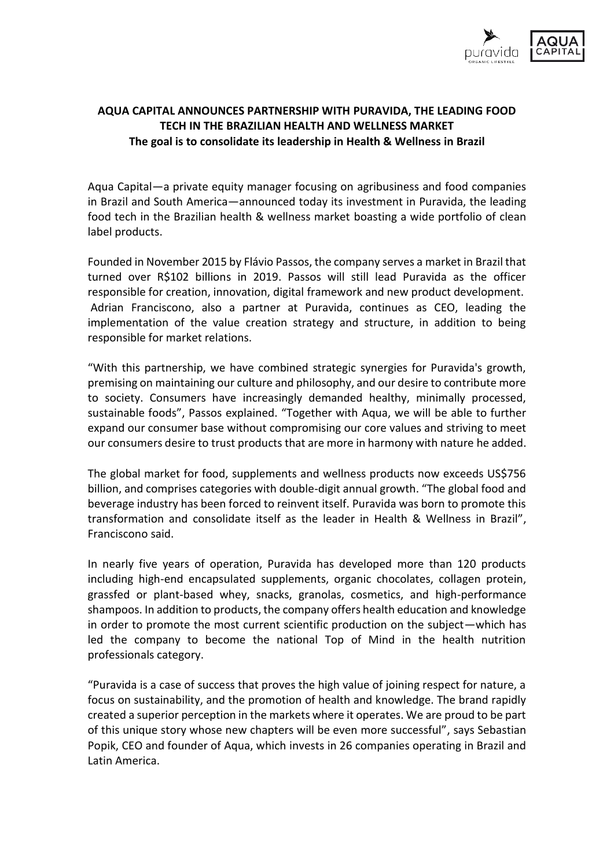

## **AQUA CAPITAL ANNOUNCES PARTNERSHIP WITH PURAVIDA, THE LEADING FOOD TECH IN THE BRAZILIAN HEALTH AND WELLNESS MARKET The goal is to consolidate its leadership in Health & Wellness in Brazil**

Aqua Capital—a private equity manager focusing on agribusiness and food companies in Brazil and South America—announced today its investment in Puravida, the leading food tech in the Brazilian health & wellness market boasting a wide portfolio of clean label products.

Founded in November 2015 by Flávio Passos, the company serves a market in Brazil that turned over R\$102 billions in 2019. Passos will still lead Puravida as the officer responsible for creation, innovation, digital framework and new product development. Adrian Franciscono, also a partner at Puravida, continues as CEO, leading the implementation of the value creation strategy and structure, in addition to being responsible for market relations.

"With this partnership, we have combined strategic synergies for Puravida's growth, premising on maintaining our culture and philosophy, and our desire to contribute more to society. Consumers have increasingly demanded healthy, minimally processed, sustainable foods", Passos explained. "Together with Aqua, we will be able to further expand our consumer base without compromising our core values and striving to meet our consumers desire to trust products that are more in harmony with nature he added.

The global market for food, supplements and wellness products now exceeds US\$756 billion, and comprises categories with double-digit annual growth. "The global food and beverage industry has been forced to reinvent itself. Puravida was born to promote this transformation and consolidate itself as the leader in Health & Wellness in Brazil", Franciscono said.

In nearly five years of operation, Puravida has developed more than 120 products including high-end encapsulated supplements, organic chocolates, collagen protein, grassfed or plant-based whey, snacks, granolas, cosmetics, and high-performance shampoos. In addition to products, the company offers health education and knowledge in order to promote the most current scientific production on the subject—which has led the company to become the national Top of Mind in the health nutrition professionals category.

"Puravida is a case of success that proves the high value of joining respect for nature, a focus on sustainability, and the promotion of health and knowledge. The brand rapidly created a superior perception in the markets where it operates. We are proud to be part of this unique story whose new chapters will be even more successful", says Sebastian Popik, CEO and founder of Aqua, which invests in 26 companies operating in Brazil and Latin America.